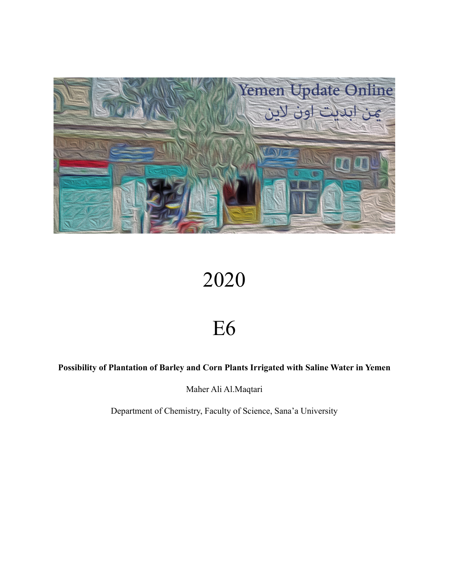

# 2020

# E6

# **Possibility of Plantation of Barley and Corn Plants Irrigated with Saline Water in Yemen**

Maher Ali Al.Maqtari

Department of Chemistry, Faculty of Science, Sana'a University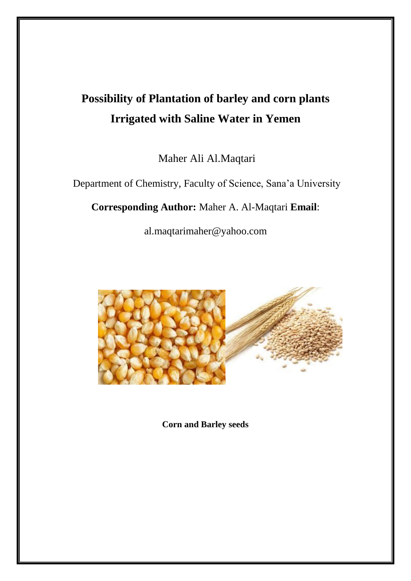# **Possibility of Plantation of barley and corn plants Irrigated with Saline Water in Yemen**

Maher Ali Al.Maqtari

Department of Chemistry, Faculty of Science, Sana'a University

**Corresponding Author:** Maher A. Al-Maqtari **Email**:

al.maqtarimaher@yahoo.com



**Corn and Barley seeds**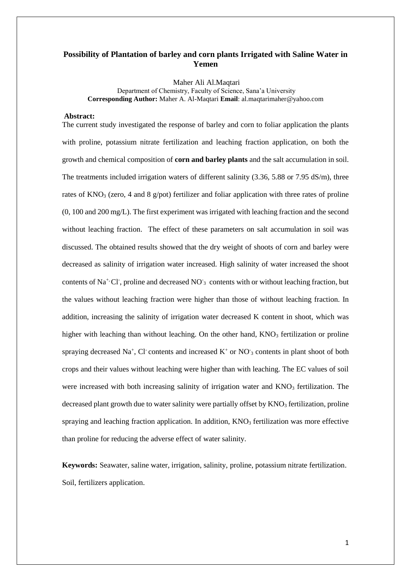## **Possibility of Plantation of barley and corn plants Irrigated with Saline Water in Yemen**

Maher Ali Al.Maqtari Department of Chemistry, Faculty of Science, Sana'a University **Corresponding Author:** Maher A. Al-Maqtari **Email**: al.maqtarimaher@yahoo.com

#### **Abstract:**

The current study investigated the response of barley and corn to foliar application the plants with proline, potassium nitrate fertilization and leaching fraction application, on both the growth and chemical composition of **corn and barley plants** and the salt accumulation in soil. The treatments included irrigation waters of different salinity (3.36, 5.88 or 7.95 dS/m), three rates of KNO<sub>3</sub> (zero, 4 and 8 g/pot) fertilizer and foliar application with three rates of proline (0, 100 and 200 mg/L). The first experiment was irrigated with leaching fraction and the second without leaching fraction. The effect of these parameters on salt accumulation in soil was discussed. The obtained results showed that the dry weight of shoots of corn and barley were decreased as salinity of irrigation water increased. High salinity of water increased the shoot contents of Na<sup>+,</sup> Cl<sup>-</sup>, proline and decreased NO<sup>-</sup><sub>3</sub> contents with or without leaching fraction, but the values without leaching fraction were higher than those of without leaching fraction. In addition, increasing the salinity of irrigation water decreased K content in shoot, which was higher with leaching than without leaching. On the other hand,  $KNO<sub>3</sub>$  fertilization or proline spraying decreased Na<sup>+</sup>, Cl contents and increased  $K^+$  or NO<sub>3</sub> contents in plant shoot of both crops and their values without leaching were higher than with leaching. The EC values of soil were increased with both increasing salinity of irrigation water and  $KNO<sub>3</sub>$  fertilization. The decreased plant growth due to water salinity were partially offset by  $KNO<sub>3</sub>$  fertilization, proline spraying and leaching fraction application. In addition,  $KNO<sub>3</sub>$  fertilization was more effective than proline for reducing the adverse effect of water salinity.

**Keywords:** Seawater, saline water, irrigation, salinity, proline, potassium nitrate fertilization. Soil, fertilizers application.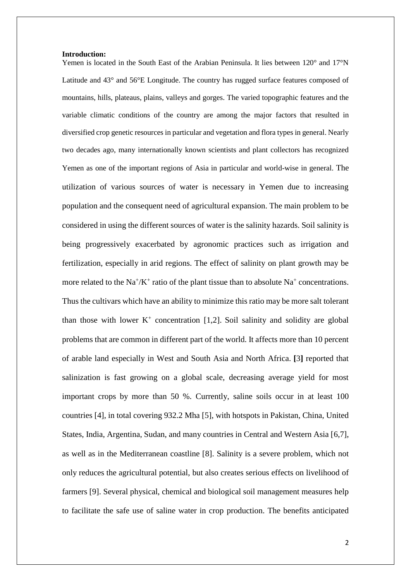#### **Introduction:**

Yemen is located in the South East of the Arabian Peninsula. It lies between 120° and 17°N Latitude and 43° and 56°E Longitude. The country has rugged surface features composed of mountains, hills, plateaus, plains, valleys and gorges. The varied topographic features and the variable climatic conditions of the country are among the major factors that resulted in diversified crop genetic resources in particular and vegetation and flora types in general. Nearly two decades ago, many internationally known scientists and plant collectors has recognized Yemen as one of the important regions of Asia in particular and world-wise in general. The utilization of various sources of water is necessary in Yemen due to increasing population and the consequent need of agricultural expansion. The main problem to be considered in using the different sources of water is the salinity hazards. Soil salinity is being progressively exacerbated by agronomic practices such as irrigation and fertilization, especially in arid regions. The effect of salinity on plant growth may be more related to the  $Na^+/K^+$  ratio of the plant tissue than to absolute  $Na^+$  concentrations. Thus the cultivars which have an ability to minimize this ratio may be more salt tolerant than those with lower  $K^+$  concentration [1,2]. Soil salinity and solidity are global problems that are common in different part of the world. It affects more than 10 percent of arable land especially in West and South Asia and North Africa. **[**3**]** reported that salinization is fast growing on a global scale, decreasing average yield for most important crops by more than 50 %. Currently, saline soils occur in at least 100 countries [4], in total covering 932.2 Mha [5], with hotspots in Pakistan, China, United States, India, Argentina, Sudan, and many countries in Central and Western Asia [6,7], as well as in the Mediterranean coastline [8]. Salinity is a severe problem, which not only reduces the agricultural potential, but also creates serious effects on livelihood of farmers [9]. Several physical, chemical and biological soil management measures help to facilitate the safe use of saline water in crop production. The benefits anticipated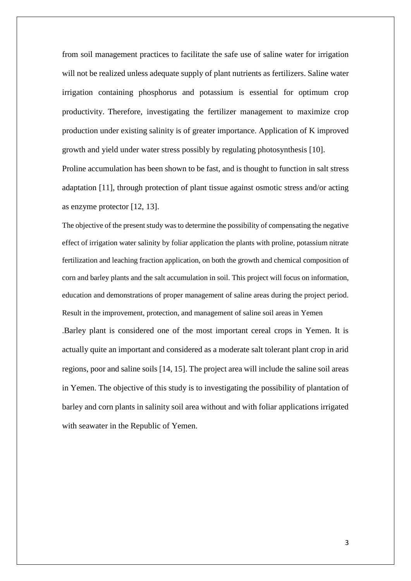from soil management practices to facilitate the safe use of saline water for irrigation will not be realized unless adequate supply of plant nutrients as fertilizers. Saline water irrigation containing phosphorus and potassium is essential for optimum crop productivity. Therefore, investigating the fertilizer management to maximize crop production under existing salinity is of greater importance. Application of K improved growth and yield under water stress possibly by regulating photosynthesis [10]. Proline accumulation has been shown to be fast, and is thought to function in salt stress adaptation [11], through protection of plant tissue against osmotic stress and/or acting as enzyme protector [12, 13].

The objective of the present study was to determine the possibility of compensating the negative effect of irrigation water salinity by foliar application the plants with proline, potassium nitrate fertilization and leaching fraction application, on both the growth and chemical composition of corn and barley plants and the salt accumulation in soil. This project will focus on information, education and demonstrations of proper management of saline areas during the project period. Result in the improvement, protection, and management of saline soil areas in Yemen .Barley plant is considered one of the most important cereal crops in Yemen. It is actually quite an important and considered as a moderate salt tolerant plant crop in arid regions, poor and saline soils [14, 15]. The project area will include the saline soil areas in Yemen. The objective of this study is to investigating the possibility of plantation of barley and corn plants in salinity soil area without and with foliar applications irrigated with seawater in the Republic of Yemen.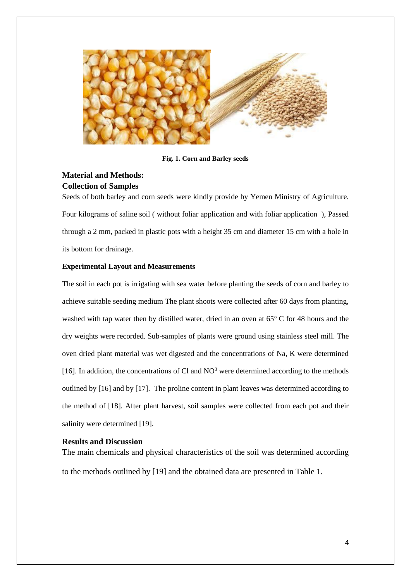

**Fig. 1. Corn and Barley seeds**

# **Material and Methods: Collection of Samples**

Seeds of both barley and corn seeds were kindly provide by Yemen Ministry of Agriculture. Four kilograms of saline soil ( without foliar application and with foliar application ), Passed through a 2 mm, packed in plastic pots with a height 35 cm and diameter 15 cm with a hole in its bottom for drainage.

#### **Experimental Layout and Measurements**

The soil in each pot is irrigating with sea water before planting the seeds of corn and barley to achieve suitable seeding medium The plant shoots were collected after 60 days from planting, washed with tap water then by distilled water, dried in an oven at  $65^{\circ}$  C for 48 hours and the dry weights were recorded. Sub-samples of plants were ground using stainless steel mill. The oven dried plant material was wet digested and the concentrations of Na, K were determined [16]. In addition, the concentrations of Cl and  $NO<sup>3</sup>$  were determined according to the methods outlined by [16] and by [17]. The proline content in plant leaves was determined according to the method of [18]. After plant harvest, soil samples were collected from each pot and their salinity were determined [19].

#### **Results and Discussion**

The main chemicals and physical characteristics of the soil was determined according to the methods outlined by [19] and the obtained data are presented in Table 1.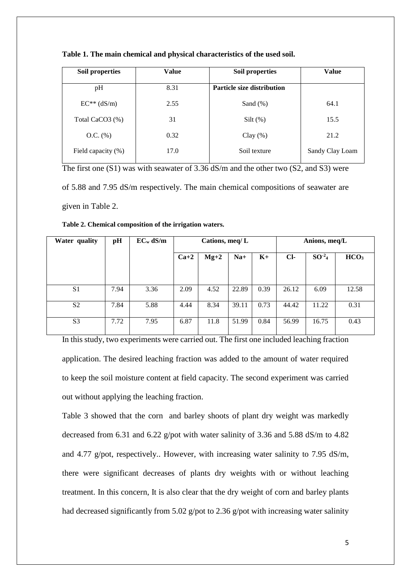| Soil properties    | <b>Value</b> | Soil properties                   | Value           |
|--------------------|--------------|-----------------------------------|-----------------|
| pH                 | 8.31         | <b>Particle size distribution</b> |                 |
| $EC**$ (dS/m)      | 2.55         | Sand $(\%)$                       | 64.1            |
| Total CaCO3 (%)    | 31           | $Silt(\%)$                        | 15.5            |
| $O.C.$ $%$         | 0.32         | Clay $(\%)$                       | 21.2            |
| Field capacity (%) | 17.0         | Soil texture                      | Sandy Clay Loam |

**Table 1. The main chemical and physical characteristics of the used soil.**

The first one (S1) was with seawater of 3.36 dS/m and the other two (S2, and S3) were of 5.88 and 7.95 dS/m respectively. The main chemical compositions of seawater are given in Table 2.

| Water quality  | pH   | $EC_w dS/m$ |        | Cations, meq/ $L$ |       | Anions, meq/L |       |                   |                  |
|----------------|------|-------------|--------|-------------------|-------|---------------|-------|-------------------|------------------|
|                |      |             | $Ca+2$ | $Mg+2$            | $Na+$ | $K+$          | $Cl-$ | SO <sup>2</sup> 4 | HCO <sub>3</sub> |
|                |      |             |        |                   |       |               |       |                   |                  |
| S <sub>1</sub> | 7.94 | 3.36        | 2.09   | 4.52              | 22.89 | 0.39          | 26.12 | 6.09              | 12.58            |
|                |      |             |        |                   |       |               |       |                   |                  |
| S <sub>2</sub> | 7.84 | 5.88        | 4.44   | 8.34              | 39.11 | 0.73          | 44.42 | 11.22             | 0.31             |
| S <sub>3</sub> | 7.72 | 7.95        | 6.87   | 11.8              | 51.99 | 0.84          | 56.99 | 16.75             | 0.43             |

**Table 2. Chemical composition of the irrigation waters.**

In this study, two experiments were carried out. The first one included leaching fraction application. The desired leaching fraction was added to the amount of water required to keep the soil moisture content at field capacity. The second experiment was carried out without applying the leaching fraction.

Table 3 showed that the corn and barley shoots of plant dry weight was markedly decreased from 6.31 and 6.22 g/pot with water salinity of 3.36 and 5.88 dS/m to 4.82 and 4.77 g/pot, respectively.. However, with increasing water salinity to 7.95 dS/m, there were significant decreases of plants dry weights with or without leaching treatment. In this concern, It is also clear that the dry weight of corn and barley plants had decreased significantly from 5.02 g/pot to 2.36 g/pot with increasing water salinity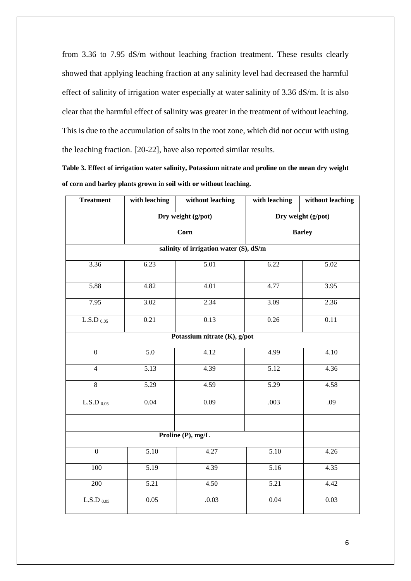from 3.36 to 7.95 dS/m without leaching fraction treatment. These results clearly showed that applying leaching fraction at any salinity level had decreased the harmful effect of salinity of irrigation water especially at water salinity of 3.36 dS/m. It is also clear that the harmful effect of salinity was greater in the treatment of without leaching. This is due to the accumulation of salts in the root zone, which did not occur with using the leaching fraction. [20-22], have also reported similar results.

**Table 3. Effect of irrigation water salinity, Potassium nitrate and proline on the mean dry weight of corn and barley plants grown in soil with or without leaching.**

| <b>Treatment</b>                       | with leaching                | without leaching   | with leaching      | without leaching  |  |  |  |  |  |  |  |
|----------------------------------------|------------------------------|--------------------|--------------------|-------------------|--|--|--|--|--|--|--|
|                                        |                              | Dry weight (g/pot) | Dry weight (g/pot) |                   |  |  |  |  |  |  |  |
|                                        | Corn                         | <b>Barley</b>      |                    |                   |  |  |  |  |  |  |  |
| salinity of irrigation water (S), dS/m |                              |                    |                    |                   |  |  |  |  |  |  |  |
| 3.36                                   | 5.01<br>6.23                 |                    | 6.22               | 5.02              |  |  |  |  |  |  |  |
| 5.88                                   | 4.82                         | 4.01               | 4.77               | 3.95              |  |  |  |  |  |  |  |
| 7.95                                   | 3.02                         | 2.34               | 3.09               | 2.36              |  |  |  |  |  |  |  |
| L.S.D $_{0.05}$                        | 0.21                         | 0.13               | 0.26               | 0.11              |  |  |  |  |  |  |  |
|                                        | Potassium nitrate (K), g/pot |                    |                    |                   |  |  |  |  |  |  |  |
| $\boldsymbol{0}$                       | 5.0                          | 4.12               | 4.99               | $\overline{4.10}$ |  |  |  |  |  |  |  |
| $\overline{4}$                         | 5.13                         | 4.39               | 5.12               | 4.36              |  |  |  |  |  |  |  |
| $\overline{8}$                         | 5.29                         | 4.59               | 5.29               | 4.58              |  |  |  |  |  |  |  |
| $L.S.D$ $0.05$                         | 0.04                         | 0.09               | .003               | .09               |  |  |  |  |  |  |  |
|                                        |                              | Proline (P), mg/L  |                    |                   |  |  |  |  |  |  |  |
|                                        |                              |                    |                    |                   |  |  |  |  |  |  |  |
| $\boldsymbol{0}$                       | 5.10                         | 4.27               | 5.10               | 4.26              |  |  |  |  |  |  |  |
| 100                                    | 5.19                         | 4.39               | 5.16               | 4.35              |  |  |  |  |  |  |  |
| 200                                    | 5.21                         | 4.50               | 5.21               | 4.42              |  |  |  |  |  |  |  |
| $\overline{\text{L.S.D}}$ 0.05         | 0.05                         | .0.03              | 0.04               | 0.03              |  |  |  |  |  |  |  |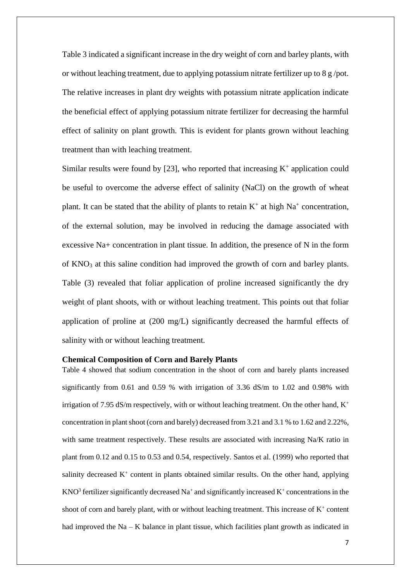Table 3 indicated a significant increase in the dry weight of corn and barley plants, with or without leaching treatment, due to applying potassium nitrate fertilizer up to 8 g /pot. The relative increases in plant dry weights with potassium nitrate application indicate the beneficial effect of applying potassium nitrate fertilizer for decreasing the harmful effect of salinity on plant growth. This is evident for plants grown without leaching treatment than with leaching treatment.

Similar results were found by  $[23]$ , who reported that increasing  $K^+$  application could be useful to overcome the adverse effect of salinity (NaCl) on the growth of wheat plant. It can be stated that the ability of plants to retain  $K^+$  at high  $Na^+$  concentration, of the external solution, may be involved in reducing the damage associated with excessive Na+ concentration in plant tissue. In addition, the presence of N in the form of KNO<sup>3</sup> at this saline condition had improved the growth of corn and barley plants. Table (3) revealed that foliar application of proline increased significantly the dry weight of plant shoots, with or without leaching treatment. This points out that foliar application of proline at (200 mg/L) significantly decreased the harmful effects of salinity with or without leaching treatment.

#### **Chemical Composition of Corn and Barely Plants**

Table 4 showed that sodium concentration in the shoot of corn and barely plants increased significantly from 0.61 and 0.59 % with irrigation of 3.36 dS/m to 1.02 and 0.98% with irrigation of 7.95 dS/m respectively, with or without leaching treatment. On the other hand,  $K^+$ concentration in plant shoot (corn and barely) decreased from 3.21 and 3.1 % to 1.62 and 2.22%, with same treatment respectively. These results are associated with increasing Na/K ratio in plant from 0.12 and 0.15 to 0.53 and 0.54, respectively. Santos et al. (1999) who reported that salinity decreased  $K^+$  content in plants obtained similar results. On the other hand, applying KNO<sup>3</sup> fertilizer significantly decreased Na<sup>+</sup> and significantly increased K<sup>+</sup> concentrations in the shoot of corn and barely plant, with or without leaching treatment. This increase of  $K^+$  content had improved the  $Na - K$  balance in plant tissue, which facilities plant growth as indicated in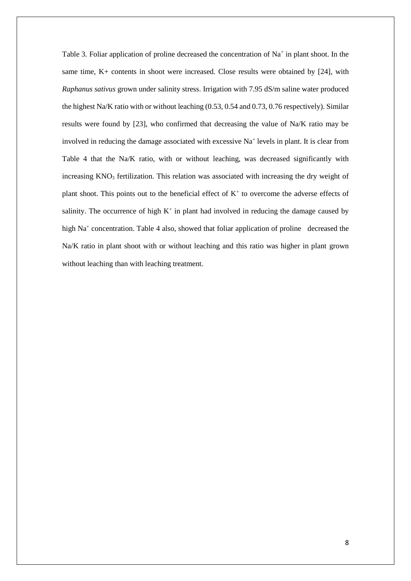Table 3. Foliar application of proline decreased the concentration of  $Na<sup>+</sup>$  in plant shoot. In the same time, K+ contents in shoot were increased. Close results were obtained by [24], with *Raphanus sativus* grown under salinity stress. Irrigation with 7.95 dS/m saline water produced the highest Na/K ratio with or without leaching (0.53, 0.54 and 0.73, 0.76 respectively). Similar results were found by [23], who confirmed that decreasing the value of Na/K ratio may be involved in reducing the damage associated with excessive Na<sup>+</sup> levels in plant. It is clear from Table 4 that the Na/K ratio, with or without leaching, was decreased significantly with increasing  $KNO<sub>3</sub>$  fertilization. This relation was associated with increasing the dry weight of plant shoot. This points out to the beneficial effect of  $K<sup>+</sup>$  to overcome the adverse effects of salinity. The occurrence of high  $K^+$  in plant had involved in reducing the damage caused by high Na<sup>+</sup> concentration. Table 4 also, showed that foliar application of proline decreased the Na/K ratio in plant shoot with or without leaching and this ratio was higher in plant grown without leaching than with leaching treatment.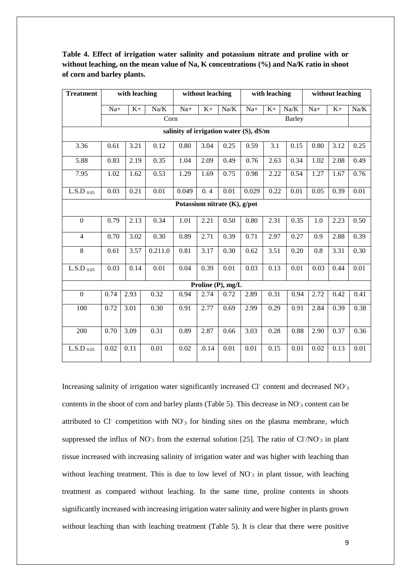| <b>Treatment</b>           |                                        | with leaching |         |       | without leaching |                              | with leaching |      |        | without leaching |      |      |
|----------------------------|----------------------------------------|---------------|---------|-------|------------------|------------------------------|---------------|------|--------|------------------|------|------|
|                            | $Na+$                                  | $K+$          | Na/K    | $Na+$ | $K+$             | Na/K                         | $Na+$         | $K+$ | Na/K   | $Na+$            | $K+$ | Na/K |
|                            |                                        |               | Corn    |       |                  |                              |               |      | Barley |                  |      |      |
|                            | salinity of irrigation water (S), dS/m |               |         |       |                  |                              |               |      |        |                  |      |      |
| 3.36                       | 0.61                                   | 3.21          | 0.12    | 0.80  | 3.04             | 0.25                         | 0.59          | 3.1  | 0.15   | 0.80             | 3.12 | 0.25 |
| 5.88                       | 0.83                                   | 2.19          | 0.35    | 1.04  | 2.09             | 0.49                         | 0.76          | 2.63 | 0.34   | 1.02             | 2.08 | 0.49 |
| 7.95                       | 1.02                                   | 1.62          | 0.53    | 1.29  | 1.69             | 0.75                         | 0.98          | 2.22 | 0.54   | 1.27             | 1.67 | 0.76 |
| $L.S.D$ 0.05               | 0.03                                   | 0.21          | 0.01    | 0.049 | 0.4              | 0.01                         | 0.029         | 0.22 | 0.01   | 0.05             | 0.39 | 0.01 |
|                            |                                        |               |         |       |                  | Potassium nitrate (K), g/pot |               |      |        |                  |      |      |
| $\boldsymbol{0}$           | 0.79                                   | 2.13          | 0.34    | 1.01  | 2.21             | 0.50                         | 0.80          | 2.31 | 0.35   | 1.0              | 2.23 | 0.50 |
| $\overline{4}$             | 0.70                                   | 3.02          | 0.30    | 0.89  | 2.71             | 0.39                         | 0.71          | 2.97 | 0.27   | 0.9              | 2.88 | 0.39 |
| 8                          | 0.61                                   | 3.57          | 0.211.0 | 0.81  | 3.17             | 0.30                         | 0.62          | 3.51 | 0.20   | 0.8              | 3.31 | 0.30 |
| L.S.D $_{0.05}$            | 0.03                                   | 0.14          | 0.01    | 0.04  | 0.39             | 0.01                         | 0.03          | 0.13 | 0.01   | 0.03             | 0.44 | 0.01 |
|                            |                                        |               |         |       |                  | Proline (P), mg/L            |               |      |        |                  |      |      |
| $\boldsymbol{0}$           | 0.74                                   | 2.93          | 0.32    | 0.94  | 2.74             | 0.72                         | 2.89          | 0.31 | 0.94   | 2.72             | 0.42 | 0.41 |
| 100                        | 0.72                                   | 3.01          | 0.30    | 0.91  | 2.77             | 0.69                         | 2.99          | 0.29 | 0.91   | 2.84             | 0.39 | 0.38 |
| 200                        | 0.70                                   | 3.09          | 0.31    | 0.89  | 2.87             | 0.66                         | 3.03          | 0.28 | 0.88   | 2.90             | 0.37 | 0.36 |
| $\text{L.S.D}\xspace$ 0.05 | 0.02                                   | 0.11          | 0.01    | 0.02  | .0.14            | 0.01                         | 0.01          | 0.15 | 0.01   | 0.02             | 0.13 | 0.01 |

**Table 4. Effect of irrigation water salinity and potassium nitrate and proline with or without leaching, on the mean value of Na, K concentrations (%) and Na/K ratio in shoot of corn and barley plants.**

Increasing salinity of irrigation water significantly increased Cl<sup>-</sup> content and decreased NO<sub>3</sub> contents in the shoot of corn and barley plants (Table 5). This decrease in NO<sub>3</sub> content can be attributed to Cl<sup>-</sup> competition with NO<sub>3</sub> for binding sites on the plasma membrane, which suppressed the influx of  $NO<sub>3</sub>$  from the external solution [25]. The ratio of Cl $/NO<sub>3</sub>$  in plant tissue increased with increasing salinity of irrigation water and was higher with leaching than without leaching treatment. This is due to low level of  $NO<sub>3</sub>$  in plant tissue, with leaching treatment as compared without leaching. In the same time, proline contents in shoots significantly increased with increasing irrigation water salinity and were higher in plants grown without leaching than with leaching treatment (Table 5). It is clear that there were positive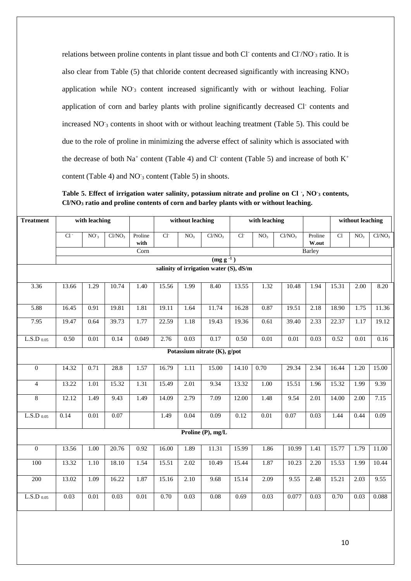relations between proline contents in plant tissue and both Cl<sup>-</sup> contents and Cl<sup>-</sup>/NO<sup>-</sup>3 ratio. It is also clear from Table  $(5)$  that chloride content decreased significantly with increasing  $KNO<sub>3</sub>$ application while NO<sub>3</sub> content increased significantly with or without leaching. Foliar application of corn and barley plants with proline significantly decreased Cl<sup>-</sup> contents and increased NO<sub>3</sub> contents in shoot with or without leaching treatment (Table 5). This could be due to the role of proline in minimizing the adverse effect of salinity which is associated with the decrease of both Na<sup>+</sup> content (Table 4) and Cl<sup>-</sup> content (Table 5) and increase of both  $K^+$ content (Table 4) and  $NO<sub>3</sub>$  content (Table 5) in shoots.

**Table 5. Effect of irrigation water salinity, potassium nitrate and proline on Cl - , NO-<sup>3</sup> contents, Cl/NO<sup>3</sup> ratio and proline contents of corn and barley plants with or without leaching.**

| <b>Treatment</b>           | with leaching |                   |                    |                 | without leaching |                 | with leaching                          |       |                   |                    |                  | without leaching |                   |                    |
|----------------------------|---------------|-------------------|--------------------|-----------------|------------------|-----------------|----------------------------------------|-------|-------------------|--------------------|------------------|------------------|-------------------|--------------------|
|                            | $Cl^{-}$      | NO <sub>3</sub>   | Cl/NO <sub>3</sub> | Proline<br>with | $Cl-$            | NO <sub>3</sub> | Cl/NO <sub>3</sub>                     | $Cl-$ | NO <sub>3</sub>   | Cl/NO <sub>3</sub> | Proline<br>W.out | $\overline{Cl}$  | NO <sub>3</sub>   | Cl/NO <sub>3</sub> |
|                            |               |                   |                    | Corn            |                  |                 |                                        |       |                   |                    | Barley           |                  |                   |                    |
|                            |               |                   |                    |                 |                  |                 | $(mg g^{-1})$                          |       |                   |                    |                  |                  |                   |                    |
|                            |               |                   |                    |                 |                  |                 | salinity of irrigation water (S), dS/m |       |                   |                    |                  |                  |                   |                    |
| 3.36                       | 13.66         | 1.29              | 10.74              | 1.40            | 15.56            | 1.99            | 8.40                                   | 13.55 | 1.32              | 10.48              | 1.94             | 15.31            | 2.00              | 8.20               |
| 5.88                       | 16.45         | 0.91              | 19.81              | 1.81            | 19.11            | 1.64            | 11.74                                  | 16.28 | 0.87              | 19.51              | 2.18             | 18.90            | 1.75              | 11.36              |
| 7.95                       | 19.47         | 0.64              | 39.73              | 1.77            | 22.59            | 1.18            | 19.43                                  | 19.36 | 0.61              | 39.40              | 2.33             | 22.37            | 1.17              | 19.12              |
| $\text{L.S.D}\xspace$ 0.05 | 0.50          | $\overline{0.01}$ | 0.14               | 0.049           | 2.76             | 0.03            | 0.17                                   | 0.50  | $\overline{0.01}$ | $\overline{0.01}$  | 0.03             | 0.52             | $\overline{0.01}$ | 0.16               |
|                            |               |                   |                    |                 |                  |                 | Potassium nitrate (K), g/pot           |       |                   |                    |                  |                  |                   |                    |
| $\overline{0}$             | 14.32         | 0.71              | 28.8               | 1.57            | 16.79            | 1.11            | 15.00                                  | 14.10 | 0.70              | 29.34              | 2.34             | 16.44            | 1.20              | 15.00              |
| $\overline{4}$             | 13.22         | 1.01              | 15.32              | 1.31            | 15.49            | 2.01            | 9.34                                   | 13.32 | $\overline{1.00}$ | 15.51              | 1.96             | 15.32            | 1.99              | 9.39               |
| 8                          | 12.12         | 1.49              | 9.43               | 1.49            | 14.09            | 2.79            | 7.09                                   | 12.00 | 1.48              | 9.54               | 2.01             | 14.00            | 2.00              | 7.15               |
| $L.S.D$ 0.05               | 0.14          | 0.01              | 0.07               |                 | 1.49             | 0.04            | 0.09                                   | 0.12  | $\overline{0.01}$ | 0.07               | 0.03             | 1.44             | 0.44              | 0.09               |
|                            |               |                   |                    |                 |                  |                 | Proline (P), mg/L                      |       |                   |                    |                  |                  |                   |                    |
| $\overline{0}$             | 13.56         | 1.00              | 20.76              | 0.92            | 16.00            | 1.89            | 11.31                                  | 15.99 | 1.86              | 10.99              | 1.41             | 15.77            | 1.79              | 11.00              |
| $100\,$                    | 13.32         | 1.10              | 18.10              | 1.54            | 15.51            | 2.02            | 10.49                                  | 15.44 | 1.87              | 10.23              | 2.20             | 15.53            | 1.99              | 10.44              |
| 200                        | 13.02         | 1.09              | 16.22              | 1.87            | 15.16            | 2.10            | 9.68                                   | 15.14 | 2.09              | 9.55               | 2.48             | 15.21            | 2.03              | 9.55               |
| $L.S.D$ 0.05               | 0.03          | 0.01              | 0.03               | 0.01            | 0.70             | 0.03            | 0.08                                   | 0.69  | 0.03              | 0.077              | 0.03             | 0.70             | 0.03              | 0.088              |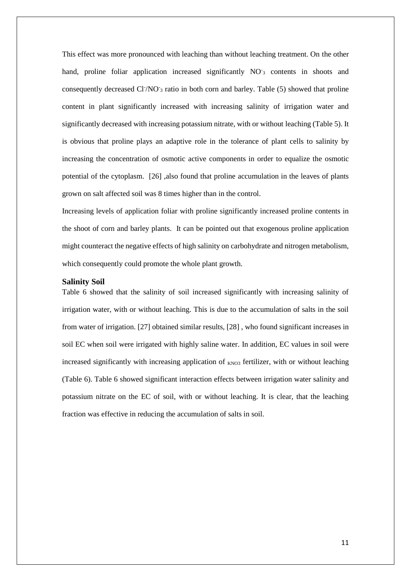This effect was more pronounced with leaching than without leaching treatment. On the other hand, proline foliar application increased significantly NO<sub>3</sub> contents in shoots and consequently decreased Cl<sup>-</sup>/NO<sub>3</sub> ratio in both corn and barley. Table (5) showed that proline content in plant significantly increased with increasing salinity of irrigation water and significantly decreased with increasing potassium nitrate, with or without leaching (Table 5). It is obvious that proline plays an adaptive role in the tolerance of plant cells to salinity by increasing the concentration of osmotic active components in order to equalize the osmotic potential of the cytoplasm. [26] ,also found that proline accumulation in the leaves of plants grown on salt affected soil was 8 times higher than in the control.

Increasing levels of application foliar with proline significantly increased proline contents in the shoot of corn and barley plants. It can be pointed out that exogenous proline application might counteract the negative effects of high salinity on carbohydrate and nitrogen metabolism, which consequently could promote the whole plant growth.

#### **Salinity Soil**

Table 6 showed that the salinity of soil increased significantly with increasing salinity of irrigation water, with or without leaching. This is due to the accumulation of salts in the soil from water of irrigation. [27] obtained similar results, [28] , who found significant increases in soil EC when soil were irrigated with highly saline water. In addition, EC values in soil were increased significantly with increasing application of  $_{KNO3}$  fertilizer, with or without leaching (Table 6). Table 6 showed significant interaction effects between irrigation water salinity and potassium nitrate on the EC of soil, with or without leaching. It is clear, that the leaching fraction was effective in reducing the accumulation of salts in soil.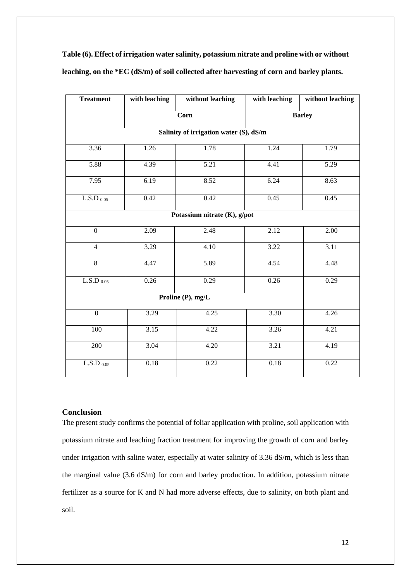| <b>Treatment</b>           | with leaching | without leaching                       | with leaching<br>without leaching |      |  |  |  |
|----------------------------|---------------|----------------------------------------|-----------------------------------|------|--|--|--|
|                            |               | Corn                                   | <b>Barley</b>                     |      |  |  |  |
|                            |               | Salinity of irrigation water (S), dS/m |                                   |      |  |  |  |
| 3.36                       | 1.26          | 1.78                                   | 1.24                              | 1.79 |  |  |  |
| 5.88                       | 4.39          | 5.21                                   | 4.41                              | 5.29 |  |  |  |
| 7.95                       | 6.19          | 8.52                                   | 6.24                              | 8.63 |  |  |  |
| $\text{L.S.D}\xspace$ 0.05 | 0.42          | 0.42                                   | 0.45                              | 0.45 |  |  |  |
|                            |               | Potassium nitrate (K), g/pot           |                                   |      |  |  |  |
| $\boldsymbol{0}$           | 2.09          | 2.48                                   | 2.12                              | 2.00 |  |  |  |
| 4                          | 3.29          | 3.22<br>4.10                           |                                   | 3.11 |  |  |  |
| $\overline{8}$             | 4.47          | 5.89                                   | 4.54                              | 4.48 |  |  |  |
| L.S.D $_{0.05}$            | 0.26          | 0.29                                   | 0.26                              | 0.29 |  |  |  |
|                            |               | Proline (P), mg/L                      |                                   |      |  |  |  |
| $\boldsymbol{0}$           | 3.29          | 4.25                                   | 3.30                              | 4.26 |  |  |  |
| 100                        | 3.15          | 4.22                                   | 3.26                              | 4.21 |  |  |  |
| 200                        | 3.04          | 4.20                                   | 3.21                              | 4.19 |  |  |  |
| $\text{L.S.D}\xspace$ 0.05 | 0.18          |                                        | 0.18                              | 0.22 |  |  |  |

**Table (6). Effect of irrigation water salinity, potassium nitrate and proline with or without leaching, on the \*EC (dS/m) of soil collected after harvesting of corn and barley plants.**

### **Conclusion**

The present study confirms the potential of foliar application with proline, soil application with potassium nitrate and leaching fraction treatment for improving the growth of corn and barley under irrigation with saline water, especially at water salinity of 3.36 dS/m, which is less than the marginal value (3.6 dS/m) for corn and barley production. In addition, potassium nitrate fertilizer as a source for K and N had more adverse effects, due to salinity, on both plant and soil.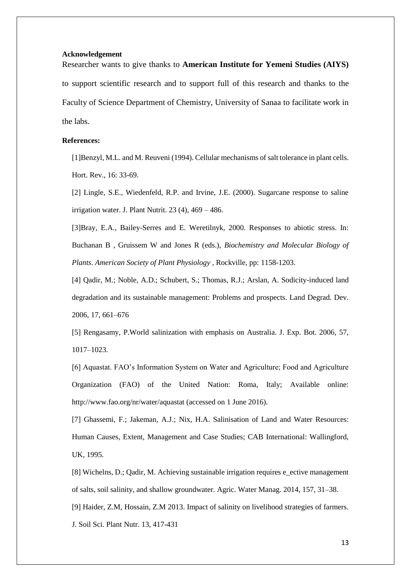#### **Acknowledgement**

Researcher wants to give thanks to **American Institute for Yemeni Studies (AIYS)** to support scientific research and to support full of this research and thanks to the Faculty of Science Department of Chemistry, University of Sanaa to facilitate work in the labs.

## **References:**

[1]Benzyl, M.L. and M. Reuveni (1994). Cellular mechanisms of salt tolerance in plant cells. Hort. Rev., 16: 33-69.

[2] Lingle, S.E., Wiedenfeld, R.P. and Irvine, J.E. (2000). Sugarcane response to saline irrigation water. J. Plant Nutrit.  $23(4)$ ,  $469 - 486$ .

[3]Bray, E.A., Bailey-Serres and E. Weretilnyk, 2000. Responses to abiotic stress. In: Buchanan B , Gruissem W and Jones R (eds.), *Biochemistry and Molecular Biology of Plants*. *American Society of Plant Physiology* , Rockville, pp: 1158-1203.

[4] Qadir, M.; Noble, A.D.; Schubert, S.; Thomas, R.J.; Arslan, A. Sodicity-induced land degradation and its sustainable management: Problems and prospects. Land Degrad. Dev. 2006, 17, 661–676

[5] Rengasamy, P.World salinization with emphasis on Australia. J. Exp. Bot. 2006, 57, 1017–1023.

[6] Aquastat. FAO's Information System on Water and Agriculture; Food and Agriculture Organization (FAO) of the United Nation: Roma, Italy; Available online: http://www.fao.org/nr/water/aquastat (accessed on 1 June 2016).

[7] Ghassemi, F.; Jakeman, A.J.; Nix, H.A. Salinisation of Land and Water Resources: Human Causes, Extent, Management and Case Studies; CAB International: Wallingford, UK, 1995.

[8] Wichelns, D.; Qadir, M. Achieving sustainable irrigation requires e\_ective management of salts, soil salinity, and shallow groundwater. Agric. Water Manag. 2014, 157, 31–38.

[9] Haider, Z.M, Hossain, Z.M 2013. Impact of salinity on livelihood strategies of farmers.

J. Soil Sci. Plant Nutr. 13, 417-431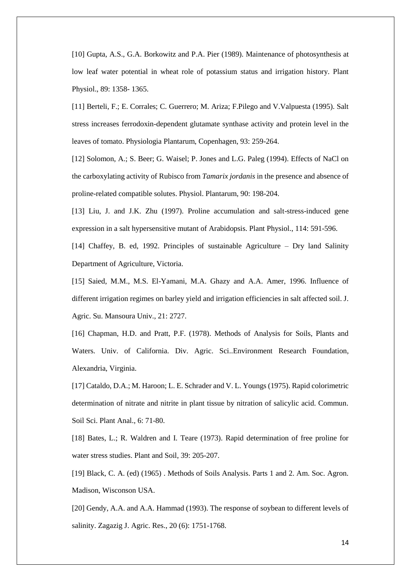[10] Gupta, A.S., G.A. Borkowitz and P.A. Pier (1989). Maintenance of photosynthesis at low leaf water potential in wheat role of potassium status and irrigation history. Plant Physiol., 89: 1358- 1365.

[11] Berteli, F.; E. Corrales; C. Guerrero; M. Ariza; F.Pilego and V.Valpuesta (1995). Salt stress increases ferrodoxin-dependent glutamate synthase activity and protein level in the leaves of tomato. Physiologia Plantarum, Copenhagen, 93: 259-264.

[12] Solomon, A.; S. Beer; G. Waisel; P. Jones and L.G. Paleg (1994). Effects of NaCl on the carboxylating activity of Rubisco from *Tamarix jordanis* in the presence and absence of proline-related compatible solutes. Physiol. Plantarum, 90: 198-204.

[13] Liu, J. and J.K. Zhu (1997). Proline accumulation and salt-stress-induced gene expression in a salt hypersensitive mutant of Arabidopsis. Plant Physiol., 114: 591-596.

[14] Chaffey, B. ed, 1992. Principles of sustainable Agriculture – Dry land Salinity Department of Agriculture, Victoria.

[15] Saied, M.M., M.S. El-Yamani, M.A. Ghazy and A.A. Amer, 1996. Influence of different irrigation regimes on barley yield and irrigation efficiencies in salt affected soil. J. Agric. Su. Mansoura Univ., 21: 2727.

[16] Chapman, H.D. and Pratt, P.F. (1978). Methods of Analysis for Soils, Plants and Waters. Univ. of California. Div. Agric. Sci..Environment Research Foundation, Alexandria, Virginia.

[17] Cataldo, D.A.; M. Haroon; L. E. Schrader and V. L. Youngs (1975). Rapid colorimetric determination of nitrate and nitrite in plant tissue by nitration of salicylic acid. Commun. Soil Sci. Plant Anal., 6: 71-80.

[18] Bates, L.; R. Waldren and I. Teare (1973). Rapid determination of free proline for water stress studies. Plant and Soil, 39: 205-207.

[19] Black, C. A. (ed) (1965) . Methods of Soils Analysis. Parts 1 and 2. Am. Soc. Agron. Madison, Wisconson USA.

[20] Gendy, A.A. and A.A. Hammad (1993). The response of soybean to different levels of salinity. Zagazig J. Agric. Res., 20 (6): 1751-1768.